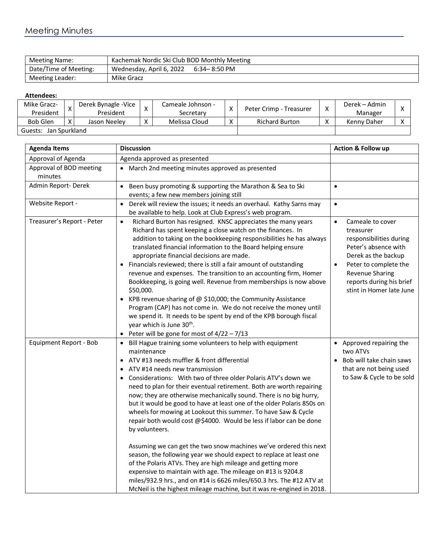## Meeting Minutes

| Meeting Name:         | Kachemak Nordic Ski Club BOD Monthly Meeting |
|-----------------------|----------------------------------------------|
| Date/Time of Meeting: | Wednesday, April 6, 2022<br>6:34– 8:50 PM    |
| Meeting Leader:       | Mike Gracz                                   |

## **Attendees:**

| Mike Gracz-<br>President |  | Derek Bynagle - Vice<br>President |                   | Cameale Johnson -<br>Secretary | X            | Peter Crimp - Treasurer | $\lambda$ | Derek – Admin<br>Manager |  |
|--------------------------|--|-----------------------------------|-------------------|--------------------------------|--------------|-------------------------|-----------|--------------------------|--|
| <b>Bob Glen</b>          |  | Jason Neelev                      | $\checkmark$<br>⋏ | Melissa Cloud                  | $\mathbf{v}$ | <b>Richard Burton</b>   |           | Kenny Daher              |  |
| Jan Spurkland<br>Guests: |  |                                   |                   |                                |              |                         |           |                          |  |

| <b>Agenda Items</b>                | <b>Discussion</b>                                                                                                                                                                                                                                                                                                                                                                                                                                                                                                                                                                                                                                                                                                                                                                                                                                                                                                                                                                                                                                      |                                                                                                                                                                                                                                       |
|------------------------------------|--------------------------------------------------------------------------------------------------------------------------------------------------------------------------------------------------------------------------------------------------------------------------------------------------------------------------------------------------------------------------------------------------------------------------------------------------------------------------------------------------------------------------------------------------------------------------------------------------------------------------------------------------------------------------------------------------------------------------------------------------------------------------------------------------------------------------------------------------------------------------------------------------------------------------------------------------------------------------------------------------------------------------------------------------------|---------------------------------------------------------------------------------------------------------------------------------------------------------------------------------------------------------------------------------------|
| Approval of Agenda                 | Agenda approved as presented                                                                                                                                                                                                                                                                                                                                                                                                                                                                                                                                                                                                                                                                                                                                                                                                                                                                                                                                                                                                                           |                                                                                                                                                                                                                                       |
| Approval of BOD meeting<br>minutes | • March 2nd meeting minutes approved as presented                                                                                                                                                                                                                                                                                                                                                                                                                                                                                                                                                                                                                                                                                                                                                                                                                                                                                                                                                                                                      |                                                                                                                                                                                                                                       |
| Admin Report-Derek                 | Been busy promoting & supporting the Marathon & Sea to Ski<br>$\bullet$<br>events; a few new members joining still                                                                                                                                                                                                                                                                                                                                                                                                                                                                                                                                                                                                                                                                                                                                                                                                                                                                                                                                     | $\bullet$                                                                                                                                                                                                                             |
| Website Report -                   | Derek will review the issues; it needs an overhaul. Kathy Sarns may<br>$\bullet$<br>be available to help. Look at Club Express's web program.                                                                                                                                                                                                                                                                                                                                                                                                                                                                                                                                                                                                                                                                                                                                                                                                                                                                                                          | $\bullet$                                                                                                                                                                                                                             |
| Treasurer's Report - Peter         | Richard Burton has resigned. KNSC appreciates the many years<br>$\bullet$<br>Richard has spent keeping a close watch on the finances. In<br>addition to taking on the bookkeeping responsibilities he has always<br>translated financial information to the Board helping ensure<br>appropriate financial decisions are made.<br>Financials reviewed; there is still a fair amount of outstanding<br>revenue and expenses. The transition to an accounting firm, Homer<br>Bookkeeping, is going well. Revenue from memberships is now above<br>\$50,000.<br>KPB revenue sharing of $@$ \$10,000; the Community Assistance<br>Program (CAP) has not come in. We do not receive the money until<br>we spend it. It needs to be spent by end of the KPB borough fiscal<br>year which is June 30 <sup>th</sup> .<br>Peter will be gone for most of $4/22 - 7/13$                                                                                                                                                                                           | Cameale to cover<br>$\bullet$<br>treasurer<br>responsibilities during<br>Peter's absence with<br>Derek as the backup<br>Peter to complete the<br>$\bullet$<br>Revenue Sharing<br>reports during his brief<br>stint in Homer late June |
| Equipment Report - Bob             | • Bill Hague training some volunteers to help with equipment<br>maintenance<br>ATV #13 needs muffler & front differential<br>$\bullet$<br>ATV #14 needs new transmission<br>Considerations: With two of three older Polaris ATV's down we<br>need to plan for their eventual retirement. Both are worth repairing<br>now; they are otherwise mechanically sound. There is no big hurry,<br>but it would be good to have at least one of the older Polaris 850s on<br>wheels for mowing at Lookout this summer. To have Saw & Cycle<br>repair both would cost @\$4000. Would be less if labor can be done<br>by volunteers.<br>Assuming we can get the two snow machines we've ordered this next<br>season, the following year we should expect to replace at least one<br>of the Polaris ATVs. They are high mileage and getting more<br>expensive to maintain with age. The mileage on #13 is 9204.8<br>miles/932.9 hrs., and on #14 is 6626 miles/650.3 hrs. The #12 ATV at<br>McNeil is the highest mileage machine, but it was re-engined in 2018. | • Approved repairing the<br>two ATVs<br>Bob will take chain saws<br>that are not being used<br>to Saw & Cycle to be sold                                                                                                              |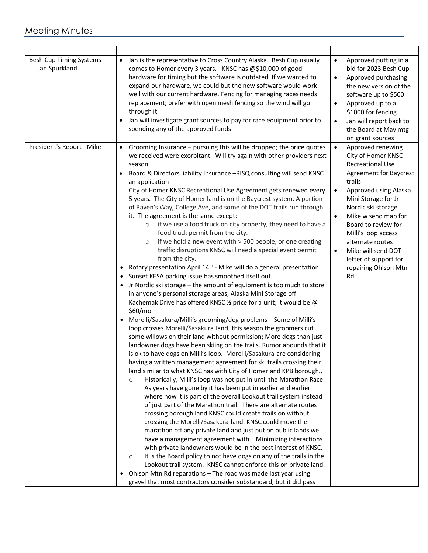| Besh Cup Timing Systems -<br>Jan Spurkland | Jan is the representative to Cross Country Alaska. Besh Cup usually<br>$\bullet$<br>comes to Homer every 3 years. KNSC has @\$10,000 of good<br>hardware for timing but the software is outdated. If we wanted to<br>expand our hardware, we could but the new software would work<br>well with our current hardware. Fencing for managing races needs<br>replacement; prefer with open mesh fencing so the wind will go<br>through it.<br>Jan will investigate grant sources to pay for race equipment prior to<br>spending any of the approved funds                                                                                                                                                                                                                                                                                                                                                                                                                                                                                                                                                                                                                                                                                                                                                                                                                                                                                                                                                                                                                                                                                                                                                                                                                                                                                                                                                                                                                                                                                                                                                                                                                                                                                                                                                                                                                                                                                                                                                                                                                                                                  | Approved putting in a<br>$\bullet$<br>bid for 2023 Besh Cup<br>Approved purchasing<br>$\bullet$<br>the new version of the<br>software up to \$500<br>Approved up to a<br>$\bullet$<br>\$1000 for fencing<br>Jan will report back to<br>$\bullet$<br>the Board at May mtg<br>on grant sources                                                                                                                  |
|--------------------------------------------|-------------------------------------------------------------------------------------------------------------------------------------------------------------------------------------------------------------------------------------------------------------------------------------------------------------------------------------------------------------------------------------------------------------------------------------------------------------------------------------------------------------------------------------------------------------------------------------------------------------------------------------------------------------------------------------------------------------------------------------------------------------------------------------------------------------------------------------------------------------------------------------------------------------------------------------------------------------------------------------------------------------------------------------------------------------------------------------------------------------------------------------------------------------------------------------------------------------------------------------------------------------------------------------------------------------------------------------------------------------------------------------------------------------------------------------------------------------------------------------------------------------------------------------------------------------------------------------------------------------------------------------------------------------------------------------------------------------------------------------------------------------------------------------------------------------------------------------------------------------------------------------------------------------------------------------------------------------------------------------------------------------------------------------------------------------------------------------------------------------------------------------------------------------------------------------------------------------------------------------------------------------------------------------------------------------------------------------------------------------------------------------------------------------------------------------------------------------------------------------------------------------------------------------------------------------------------------------------------------------------------|---------------------------------------------------------------------------------------------------------------------------------------------------------------------------------------------------------------------------------------------------------------------------------------------------------------------------------------------------------------------------------------------------------------|
| President's Report - Mike                  | Grooming Insurance - pursuing this will be dropped; the price quotes<br>$\bullet$<br>we received were exorbitant. Will try again with other providers next<br>season.<br>Board & Directors liability Insurance -RISQ consulting will send KNSC<br>an application<br>City of Homer KNSC Recreational Use Agreement gets renewed every<br>5 years. The City of Homer land is on the Baycrest system. A portion<br>of Raven's Way, College Ave, and some of the DOT trails run through<br>it. The agreement is the same except:<br>if we use a food truck on city property, they need to have a<br>$\circ$<br>food truck permit from the city.<br>if we hold a new event with > 500 people, or one creating<br>$\circ$<br>traffic disruptions KNSC will need a special event permit<br>from the city.<br>Rotary presentation April 14 <sup>th</sup> - Mike will do a general presentation<br>• Sunset KESA parking issue has smoothed itself out.<br>Jr Nordic ski storage - the amount of equipment is too much to store<br>in anyone's personal storage areas; Alaska Mini Storage off<br>Kachemak Drive has offered KNSC 1/2 price for a unit; it would be @<br>\$60/mo<br>Morelli/Sasakura/Milli's grooming/dog problems - Some of Milli's<br>$\bullet$<br>loop crosses Morelli/Sasakura land; this season the groomers cut<br>some willows on their land without permission; More dogs than just<br>landowner dogs have been skiing on the trails. Rumor abounds that it<br>is ok to have dogs on Milli's loop. Morelli/Sasakura are considering<br>having a written management agreement for ski trails crossing their<br>land similar to what KNSC has with City of Homer and KPB borough.,<br>Historically, Milli's loop was not put in until the Marathon Race.<br>$\circ$<br>As years have gone by it has been put in earlier and earlier<br>where now it is part of the overall Lookout trail system instead<br>of just part of the Marathon trail. There are alternate routes<br>crossing borough land KNSC could create trails on without<br>crossing the Morelli/Sasakura land. KNSC could move the<br>marathon off any private land and just put on public lands we<br>have a management agreement with. Minimizing interactions<br>with private landowners would be in the best interest of KNSC.<br>It is the Board policy to not have dogs on any of the trails in the<br>$\circ$<br>Lookout trail system. KNSC cannot enforce this on private land.<br>Ohlson Mtn Rd reparations - The road was made last year using<br>$\bullet$<br>gravel that most contractors consider substandard, but it did pass | Approved renewing<br>$\bullet$<br>City of Homer KNSC<br><b>Recreational Use</b><br><b>Agreement for Baycrest</b><br>trails<br>Approved using Alaska<br>$\bullet$<br>Mini Storage for Jr<br>Nordic ski storage<br>Mike w send map for<br>$\bullet$<br>Board to review for<br>Milli's loop access<br>alternate routes<br>Mike will send DOT<br>$\bullet$<br>letter of support for<br>repairing Ohlson Mtn<br>Rd |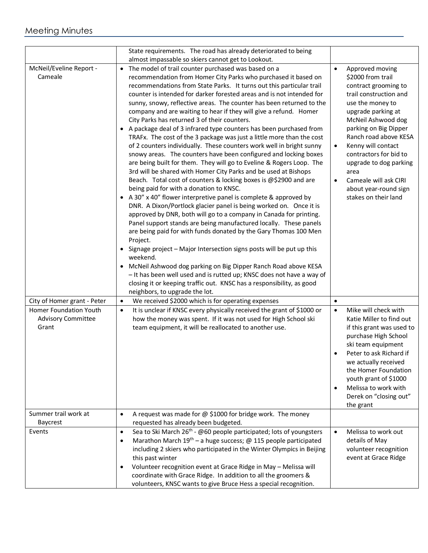|                                                              | State requirements. The road has already deteriorated to being<br>almost impassable so skiers cannot get to Lookout.                                                                                                                                                                                                                                                                                                                                                                                                                                                                                                                                                                                                                                                                                                                                                                                                                                                                                                                                                                                                                                                                                                                                                                                                                                                                                                                                                                                                                                                                                                                                                                                                                           |                                                                                                                                                                                                                                                                                                                                                                                   |
|--------------------------------------------------------------|------------------------------------------------------------------------------------------------------------------------------------------------------------------------------------------------------------------------------------------------------------------------------------------------------------------------------------------------------------------------------------------------------------------------------------------------------------------------------------------------------------------------------------------------------------------------------------------------------------------------------------------------------------------------------------------------------------------------------------------------------------------------------------------------------------------------------------------------------------------------------------------------------------------------------------------------------------------------------------------------------------------------------------------------------------------------------------------------------------------------------------------------------------------------------------------------------------------------------------------------------------------------------------------------------------------------------------------------------------------------------------------------------------------------------------------------------------------------------------------------------------------------------------------------------------------------------------------------------------------------------------------------------------------------------------------------------------------------------------------------|-----------------------------------------------------------------------------------------------------------------------------------------------------------------------------------------------------------------------------------------------------------------------------------------------------------------------------------------------------------------------------------|
| McNeil/Eveline Report -<br>Cameale                           | • The model of trail counter purchased was based on a<br>recommendation from Homer City Parks who purchased it based on<br>recommendations from State Parks. It turns out this particular trail<br>counter is intended for darker forested areas and is not intended for<br>sunny, snowy, reflective areas. The counter has been returned to the<br>company and are waiting to hear if they will give a refund. Homer<br>City Parks has returned 3 of their counters.<br>• A package deal of 3 infrared type counters has been purchased from<br>TRAFx. The cost of the 3 package was just a little more than the cost<br>of 2 counters individually. These counters work well in bright sunny<br>snowy areas. The counters have been configured and locking boxes<br>are being built for them. They will go to Eveline & Rogers Loop. The<br>3rd will be shared with Homer City Parks and be used at Bishops<br>Beach. Total cost of counters & locking boxes is @\$2900 and are<br>being paid for with a donation to KNSC.<br>• A 30" x 40" flower interpretive panel is complete & approved by<br>DNR. A Dixon/Portlock glacier panel is being worked on. Once it is<br>approved by DNR, both will go to a company in Canada for printing.<br>Panel support stands are being manufactured locally. These panels<br>are being paid for with funds donated by the Gary Thomas 100 Men<br>Project.<br>• Signage project - Major Intersection signs posts will be put up this<br>weekend.<br>McNeil Ashwood dog parking on Big Dipper Ranch Road above KESA<br>- It has been well used and is rutted up; KNSC does not have a way of<br>closing it or keeping traffic out. KNSC has a responsibility, as good<br>neighbors, to upgrade the lot. | Approved moving<br>$\bullet$<br>\$2000 from trail<br>contract grooming to<br>trail construction and<br>use the money to<br>upgrade parking at<br>McNeil Ashwood dog<br>parking on Big Dipper<br>Ranch road above KESA<br>Kenny will contact<br>contractors for bid to<br>upgrade to dog parking<br>area<br>Cameale will ask CIRI<br>about year-round sign<br>stakes on their land |
| City of Homer grant - Peter                                  | We received \$2000 which is for operating expenses<br>$\bullet$                                                                                                                                                                                                                                                                                                                                                                                                                                                                                                                                                                                                                                                                                                                                                                                                                                                                                                                                                                                                                                                                                                                                                                                                                                                                                                                                                                                                                                                                                                                                                                                                                                                                                | $\bullet$                                                                                                                                                                                                                                                                                                                                                                         |
| Homer Foundation Youth<br><b>Advisory Committee</b><br>Grant | It is unclear if KNSC every physically received the grant of \$1000 or<br>$\bullet$<br>how the money was spent. If it was not used for High School ski<br>team equipment, it will be reallocated to another use.                                                                                                                                                                                                                                                                                                                                                                                                                                                                                                                                                                                                                                                                                                                                                                                                                                                                                                                                                                                                                                                                                                                                                                                                                                                                                                                                                                                                                                                                                                                               | Mike will check with<br>$\bullet$<br>Katie Miller to find out<br>if this grant was used to<br>purchase High School<br>ski team equipment<br>Peter to ask Richard if<br>we actually received<br>the Homer Foundation<br>youth grant of \$1000<br>Melissa to work with<br>Derek on "closing out"<br>the grant                                                                       |
| Summer trail work at<br>Baycrest                             | A request was made for $@$ \$1000 for bridge work. The money<br>$\bullet$<br>requested has already been budgeted.                                                                                                                                                                                                                                                                                                                                                                                                                                                                                                                                                                                                                                                                                                                                                                                                                                                                                                                                                                                                                                                                                                                                                                                                                                                                                                                                                                                                                                                                                                                                                                                                                              |                                                                                                                                                                                                                                                                                                                                                                                   |
| Events                                                       | Sea to Ski March 26 <sup>th</sup> - @60 people participated; lots of youngsters<br>$\bullet$<br>Marathon March $19^{th}$ – a huge success; @ 115 people participated<br>$\bullet$<br>including 2 skiers who participated in the Winter Olympics in Beijing<br>this past winter<br>Volunteer recognition event at Grace Ridge in May - Melissa will<br>$\bullet$<br>coordinate with Grace Ridge. In addition to all the groomers &<br>volunteers, KNSC wants to give Bruce Hess a special recognition.                                                                                                                                                                                                                                                                                                                                                                                                                                                                                                                                                                                                                                                                                                                                                                                                                                                                                                                                                                                                                                                                                                                                                                                                                                          | Melissa to work out<br>$\bullet$<br>details of May<br>volunteer recognition<br>event at Grace Ridge                                                                                                                                                                                                                                                                               |